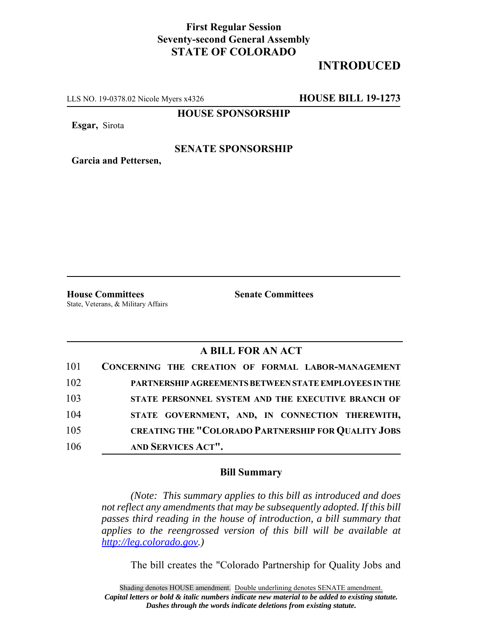## **First Regular Session Seventy-second General Assembly STATE OF COLORADO**

# **INTRODUCED**

LLS NO. 19-0378.02 Nicole Myers x4326 **HOUSE BILL 19-1273**

**HOUSE SPONSORSHIP**

**Esgar,** Sirota

#### **SENATE SPONSORSHIP**

**Garcia and Pettersen,**

**House Committees Senate Committees** State, Veterans, & Military Affairs

## **A BILL FOR AN ACT**

| 101 | CONCERNING THE CREATION OF FORMAL LABOR-MANAGEMENT         |
|-----|------------------------------------------------------------|
| 102 | PARTNERSHIP AGREEMENTS BETWEEN STATE EMPLOYEES IN THE      |
| 103 | STATE PERSONNEL SYSTEM AND THE EXECUTIVE BRANCH OF         |
| 104 | STATE GOVERNMENT, AND, IN CONNECTION THEREWITH,            |
| 105 | <b>CREATING THE "COLORADO PARTNERSHIP FOR QUALITY JOBS</b> |
| 106 | AND SERVICES ACT".                                         |

## **Bill Summary**

*(Note: This summary applies to this bill as introduced and does not reflect any amendments that may be subsequently adopted. If this bill passes third reading in the house of introduction, a bill summary that applies to the reengrossed version of this bill will be available at http://leg.colorado.gov.)*

The bill creates the "Colorado Partnership for Quality Jobs and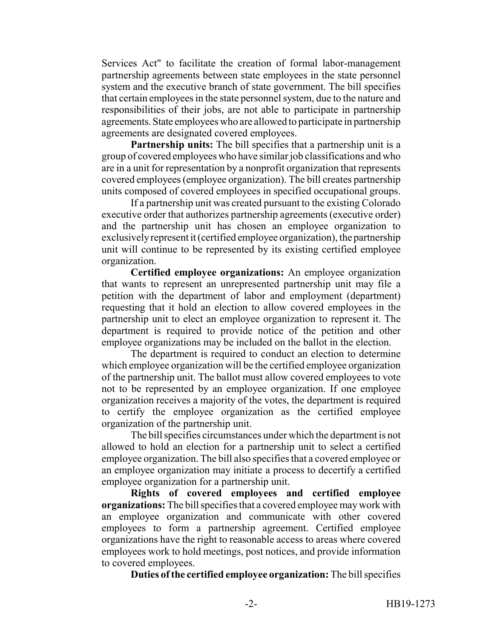Services Act" to facilitate the creation of formal labor-management partnership agreements between state employees in the state personnel system and the executive branch of state government. The bill specifies that certain employees in the state personnel system, due to the nature and responsibilities of their jobs, are not able to participate in partnership agreements. State employees who are allowed to participate in partnership agreements are designated covered employees.

**Partnership units:** The bill specifies that a partnership unit is a group of covered employees who have similar job classifications and who are in a unit for representation by a nonprofit organization that represents covered employees (employee organization). The bill creates partnership units composed of covered employees in specified occupational groups.

If a partnership unit was created pursuant to the existing Colorado executive order that authorizes partnership agreements (executive order) and the partnership unit has chosen an employee organization to exclusively represent it (certified employee organization), the partnership unit will continue to be represented by its existing certified employee organization.

**Certified employee organizations:** An employee organization that wants to represent an unrepresented partnership unit may file a petition with the department of labor and employment (department) requesting that it hold an election to allow covered employees in the partnership unit to elect an employee organization to represent it. The department is required to provide notice of the petition and other employee organizations may be included on the ballot in the election.

The department is required to conduct an election to determine which employee organization will be the certified employee organization of the partnership unit. The ballot must allow covered employees to vote not to be represented by an employee organization. If one employee organization receives a majority of the votes, the department is required to certify the employee organization as the certified employee organization of the partnership unit.

The bill specifies circumstances under which the department is not allowed to hold an election for a partnership unit to select a certified employee organization. The bill also specifies that a covered employee or an employee organization may initiate a process to decertify a certified employee organization for a partnership unit.

**Rights of covered employees and certified employee organizations:** The bill specifies that a covered employee may work with an employee organization and communicate with other covered employees to form a partnership agreement. Certified employee organizations have the right to reasonable access to areas where covered employees work to hold meetings, post notices, and provide information to covered employees.

**Duties of the certified employee organization:** The bill specifies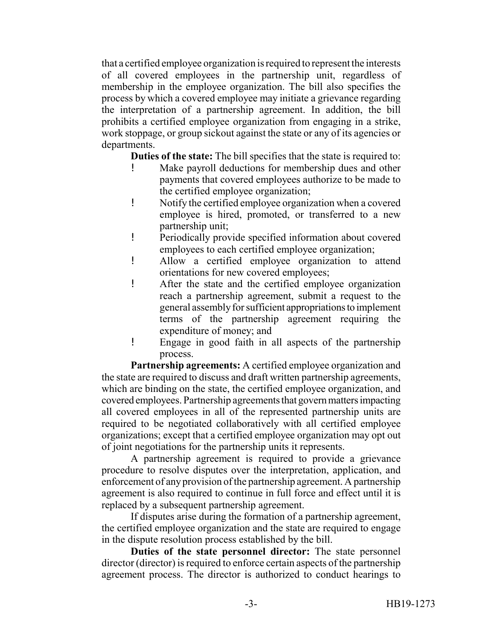that a certified employee organization is required to represent the interests of all covered employees in the partnership unit, regardless of membership in the employee organization. The bill also specifies the process by which a covered employee may initiate a grievance regarding the interpretation of a partnership agreement. In addition, the bill prohibits a certified employee organization from engaging in a strike, work stoppage, or group sickout against the state or any of its agencies or departments.

**Duties of the state:** The bill specifies that the state is required to:

- ! Make payroll deductions for membership dues and other payments that covered employees authorize to be made to the certified employee organization;
- ! Notify the certified employee organization when a covered employee is hired, promoted, or transferred to a new partnership unit;
- ! Periodically provide specified information about covered employees to each certified employee organization;
- ! Allow a certified employee organization to attend orientations for new covered employees;
- ! After the state and the certified employee organization reach a partnership agreement, submit a request to the general assembly for sufficient appropriations to implement terms of the partnership agreement requiring the expenditure of money; and
- ! Engage in good faith in all aspects of the partnership process.

**Partnership agreements:** A certified employee organization and the state are required to discuss and draft written partnership agreements, which are binding on the state, the certified employee organization, and covered employees. Partnership agreements that govern matters impacting all covered employees in all of the represented partnership units are required to be negotiated collaboratively with all certified employee organizations; except that a certified employee organization may opt out of joint negotiations for the partnership units it represents.

A partnership agreement is required to provide a grievance procedure to resolve disputes over the interpretation, application, and enforcement of any provision of the partnership agreement. A partnership agreement is also required to continue in full force and effect until it is replaced by a subsequent partnership agreement.

If disputes arise during the formation of a partnership agreement, the certified employee organization and the state are required to engage in the dispute resolution process established by the bill.

**Duties of the state personnel director:** The state personnel director (director) is required to enforce certain aspects of the partnership agreement process. The director is authorized to conduct hearings to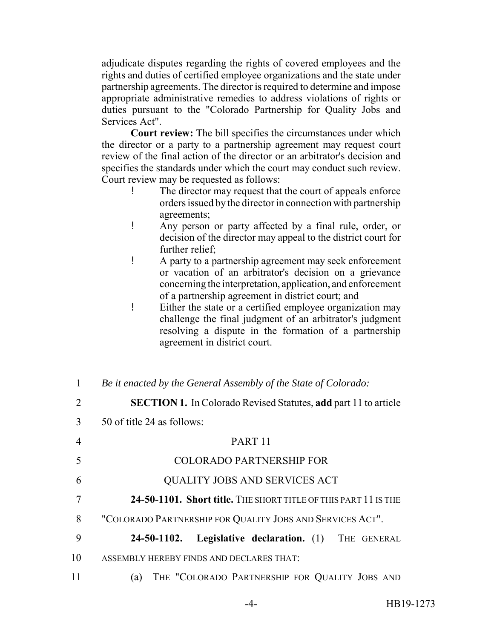adjudicate disputes regarding the rights of covered employees and the rights and duties of certified employee organizations and the state under partnership agreements. The director is required to determine and impose appropriate administrative remedies to address violations of rights or duties pursuant to the "Colorado Partnership for Quality Jobs and Services Act".

**Court review:** The bill specifies the circumstances under which the director or a party to a partnership agreement may request court review of the final action of the director or an arbitrator's decision and specifies the standards under which the court may conduct such review. Court review may be requested as follows:

- The director may request that the court of appeals enforce orders issued by the director in connection with partnership agreements;
- ! Any person or party affected by a final rule, order, or decision of the director may appeal to the district court for further relief;
- ! A party to a partnership agreement may seek enforcement or vacation of an arbitrator's decision on a grievance concerning the interpretation, application, and enforcement of a partnership agreement in district court; and
- ! Either the state or a certified employee organization may challenge the final judgment of an arbitrator's judgment resolving a dispute in the formation of a partnership agreement in district court.

| 1  | Be it enacted by the General Assembly of the State of Colorado:        |
|----|------------------------------------------------------------------------|
| 2  | <b>SECTION 1.</b> In Colorado Revised Statutes, add part 11 to article |
| 3  | 50 of title 24 as follows:                                             |
| 4  | PART <sub>11</sub>                                                     |
| 5  | <b>COLORADO PARTNERSHIP FOR</b>                                        |
| 6  | QUALITY JOBS AND SERVICES ACT                                          |
| 7  | 24-50-1101. Short title. THE SHORT TITLE OF THIS PART 11 IS THE        |
| 8  | "COLORADO PARTNERSHIP FOR QUALITY JOBS AND SERVICES ACT".              |
| 9  | Legislative declaration. (1) THE GENERAL<br>24-50-1102.                |
| 10 | ASSEMBLY HEREBY FINDS AND DECLARES THAT:                               |
| 11 | THE "COLORADO PARTNERSHIP FOR QUALITY JOBS AND<br>(a)                  |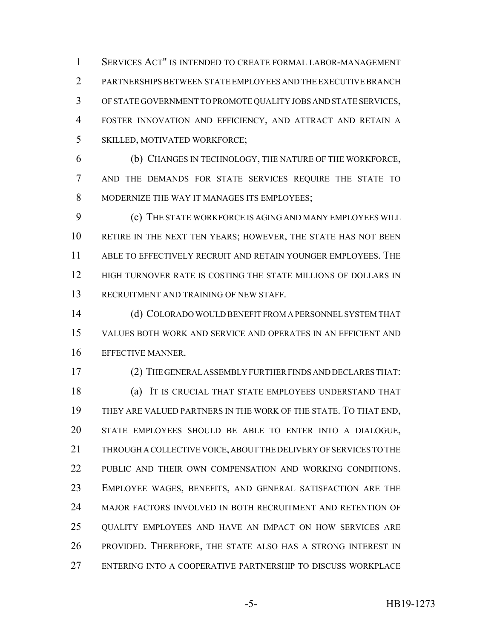SERVICES ACT" IS INTENDED TO CREATE FORMAL LABOR-MANAGEMENT PARTNERSHIPS BETWEEN STATE EMPLOYEES AND THE EXECUTIVE BRANCH OF STATE GOVERNMENT TO PROMOTE QUALITY JOBS AND STATE SERVICES, FOSTER INNOVATION AND EFFICIENCY, AND ATTRACT AND RETAIN A SKILLED, MOTIVATED WORKFORCE;

 (b) CHANGES IN TECHNOLOGY, THE NATURE OF THE WORKFORCE, AND THE DEMANDS FOR STATE SERVICES REQUIRE THE STATE TO MODERNIZE THE WAY IT MANAGES ITS EMPLOYEES;

 (c) THE STATE WORKFORCE IS AGING AND MANY EMPLOYEES WILL RETIRE IN THE NEXT TEN YEARS; HOWEVER, THE STATE HAS NOT BEEN ABLE TO EFFECTIVELY RECRUIT AND RETAIN YOUNGER EMPLOYEES. THE HIGH TURNOVER RATE IS COSTING THE STATE MILLIONS OF DOLLARS IN RECRUITMENT AND TRAINING OF NEW STAFF.

 (d) COLORADO WOULD BENEFIT FROM A PERSONNEL SYSTEM THAT VALUES BOTH WORK AND SERVICE AND OPERATES IN AN EFFICIENT AND EFFECTIVE MANNER.

(2) THE GENERAL ASSEMBLY FURTHER FINDS AND DECLARES THAT:

 (a) IT IS CRUCIAL THAT STATE EMPLOYEES UNDERSTAND THAT THEY ARE VALUED PARTNERS IN THE WORK OF THE STATE. TO THAT END, STATE EMPLOYEES SHOULD BE ABLE TO ENTER INTO A DIALOGUE, THROUGH A COLLECTIVE VOICE, ABOUT THE DELIVERY OF SERVICES TO THE 22 PUBLIC AND THEIR OWN COMPENSATION AND WORKING CONDITIONS. EMPLOYEE WAGES, BENEFITS, AND GENERAL SATISFACTION ARE THE MAJOR FACTORS INVOLVED IN BOTH RECRUITMENT AND RETENTION OF QUALITY EMPLOYEES AND HAVE AN IMPACT ON HOW SERVICES ARE PROVIDED. THEREFORE, THE STATE ALSO HAS A STRONG INTEREST IN ENTERING INTO A COOPERATIVE PARTNERSHIP TO DISCUSS WORKPLACE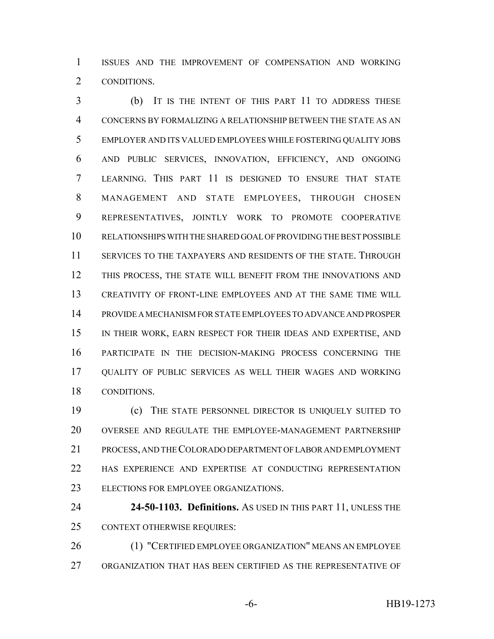ISSUES AND THE IMPROVEMENT OF COMPENSATION AND WORKING CONDITIONS.

 (b) IT IS THE INTENT OF THIS PART 11 TO ADDRESS THESE CONCERNS BY FORMALIZING A RELATIONSHIP BETWEEN THE STATE AS AN EMPLOYER AND ITS VALUED EMPLOYEES WHILE FOSTERING QUALITY JOBS AND PUBLIC SERVICES, INNOVATION, EFFICIENCY, AND ONGOING LEARNING. THIS PART 11 IS DESIGNED TO ENSURE THAT STATE MANAGEMENT AND STATE EMPLOYEES, THROUGH CHOSEN REPRESENTATIVES, JOINTLY WORK TO PROMOTE COOPERATIVE RELATIONSHIPS WITH THE SHARED GOAL OF PROVIDING THE BEST POSSIBLE SERVICES TO THE TAXPAYERS AND RESIDENTS OF THE STATE. THROUGH THIS PROCESS, THE STATE WILL BENEFIT FROM THE INNOVATIONS AND CREATIVITY OF FRONT-LINE EMPLOYEES AND AT THE SAME TIME WILL PROVIDE A MECHANISM FOR STATE EMPLOYEES TO ADVANCE AND PROSPER IN THEIR WORK, EARN RESPECT FOR THEIR IDEAS AND EXPERTISE, AND PARTICIPATE IN THE DECISION-MAKING PROCESS CONCERNING THE QUALITY OF PUBLIC SERVICES AS WELL THEIR WAGES AND WORKING CONDITIONS.

 (c) THE STATE PERSONNEL DIRECTOR IS UNIQUELY SUITED TO OVERSEE AND REGULATE THE EMPLOYEE-MANAGEMENT PARTNERSHIP PROCESS, AND THE COLORADO DEPARTMENT OF LABOR AND EMPLOYMENT HAS EXPERIENCE AND EXPERTISE AT CONDUCTING REPRESENTATION ELECTIONS FOR EMPLOYEE ORGANIZATIONS.

 **24-50-1103. Definitions.** AS USED IN THIS PART 11, UNLESS THE CONTEXT OTHERWISE REQUIRES:

 (1) "CERTIFIED EMPLOYEE ORGANIZATION" MEANS AN EMPLOYEE ORGANIZATION THAT HAS BEEN CERTIFIED AS THE REPRESENTATIVE OF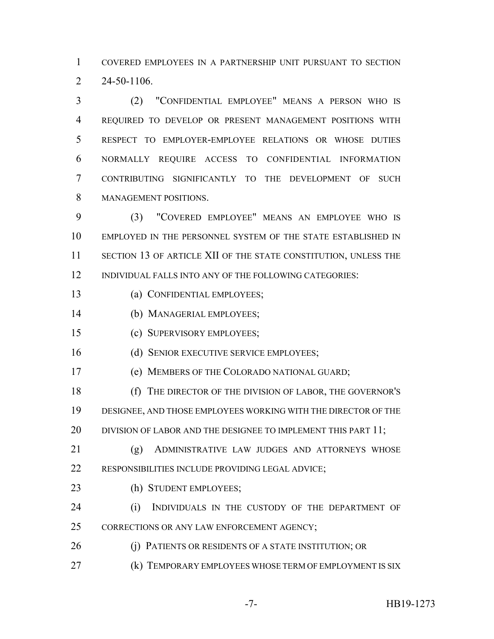COVERED EMPLOYEES IN A PARTNERSHIP UNIT PURSUANT TO SECTION 24-50-1106.

 (2) "CONFIDENTIAL EMPLOYEE" MEANS A PERSON WHO IS REQUIRED TO DEVELOP OR PRESENT MANAGEMENT POSITIONS WITH RESPECT TO EMPLOYER-EMPLOYEE RELATIONS OR WHOSE DUTIES NORMALLY REQUIRE ACCESS TO CONFIDENTIAL INFORMATION CONTRIBUTING SIGNIFICANTLY TO THE DEVELOPMENT OF SUCH MANAGEMENT POSITIONS.

 (3) "COVERED EMPLOYEE" MEANS AN EMPLOYEE WHO IS EMPLOYED IN THE PERSONNEL SYSTEM OF THE STATE ESTABLISHED IN 11 SECTION 13 OF ARTICLE XII OF THE STATE CONSTITUTION, UNLESS THE INDIVIDUAL FALLS INTO ANY OF THE FOLLOWING CATEGORIES:

- (a) CONFIDENTIAL EMPLOYEES;
- (b) MANAGERIAL EMPLOYEES;
- (c) SUPERVISORY EMPLOYEES;
- 16 (d) SENIOR EXECUTIVE SERVICE EMPLOYEES;
- (e) MEMBERS OF THE COLORADO NATIONAL GUARD;
- (f) THE DIRECTOR OF THE DIVISION OF LABOR, THE GOVERNOR'S DESIGNEE, AND THOSE EMPLOYEES WORKING WITH THE DIRECTOR OF THE 20 DIVISION OF LABOR AND THE DESIGNEE TO IMPLEMENT THIS PART 11;
- (g) ADMINISTRATIVE LAW JUDGES AND ATTORNEYS WHOSE RESPONSIBILITIES INCLUDE PROVIDING LEGAL ADVICE;
- 23 (h) STUDENT EMPLOYEES;
- (i) INDIVIDUALS IN THE CUSTODY OF THE DEPARTMENT OF 25 CORRECTIONS OR ANY LAW ENFORCEMENT AGENCY;
- 26 (i) PATIENTS OR RESIDENTS OF A STATE INSTITUTION; OR
- **(k) TEMPORARY EMPLOYEES WHOSE TERM OF EMPLOYMENT IS SIX**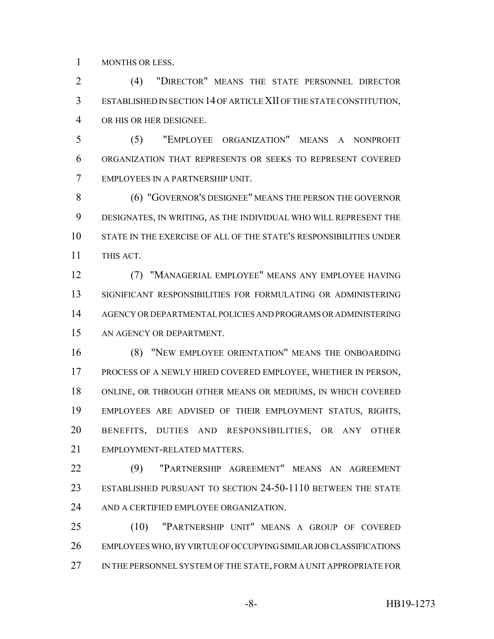MONTHS OR LESS.

 (4) "DIRECTOR" MEANS THE STATE PERSONNEL DIRECTOR ESTABLISHED IN SECTION 14 OF ARTICLE XII OF THE STATE CONSTITUTION, OR HIS OR HER DESIGNEE.

 (5) "EMPLOYEE ORGANIZATION" MEANS A NONPROFIT ORGANIZATION THAT REPRESENTS OR SEEKS TO REPRESENT COVERED EMPLOYEES IN A PARTNERSHIP UNIT.

 (6) "GOVERNOR'S DESIGNEE" MEANS THE PERSON THE GOVERNOR DESIGNATES, IN WRITING, AS THE INDIVIDUAL WHO WILL REPRESENT THE STATE IN THE EXERCISE OF ALL OF THE STATE'S RESPONSIBILITIES UNDER THIS ACT.

 (7) "MANAGERIAL EMPLOYEE" MEANS ANY EMPLOYEE HAVING SIGNIFICANT RESPONSIBILITIES FOR FORMULATING OR ADMINISTERING AGENCY OR DEPARTMENTAL POLICIES AND PROGRAMS OR ADMINISTERING AN AGENCY OR DEPARTMENT.

 (8) "NEW EMPLOYEE ORIENTATION" MEANS THE ONBOARDING PROCESS OF A NEWLY HIRED COVERED EMPLOYEE, WHETHER IN PERSON, ONLINE, OR THROUGH OTHER MEANS OR MEDIUMS, IN WHICH COVERED EMPLOYEES ARE ADVISED OF THEIR EMPLOYMENT STATUS, RIGHTS, BENEFITS, DUTIES AND RESPONSIBILITIES, OR ANY OTHER EMPLOYMENT-RELATED MATTERS.

 (9) "PARTNERSHIP AGREEMENT" MEANS AN AGREEMENT ESTABLISHED PURSUANT TO SECTION 24-50-1110 BETWEEN THE STATE AND A CERTIFIED EMPLOYEE ORGANIZATION.

 (10) "PARTNERSHIP UNIT" MEANS A GROUP OF COVERED EMPLOYEES WHO, BY VIRTUE OF OCCUPYING SIMILAR JOB CLASSIFICATIONS 27 IN THE PERSONNEL SYSTEM OF THE STATE, FORM A UNIT APPROPRIATE FOR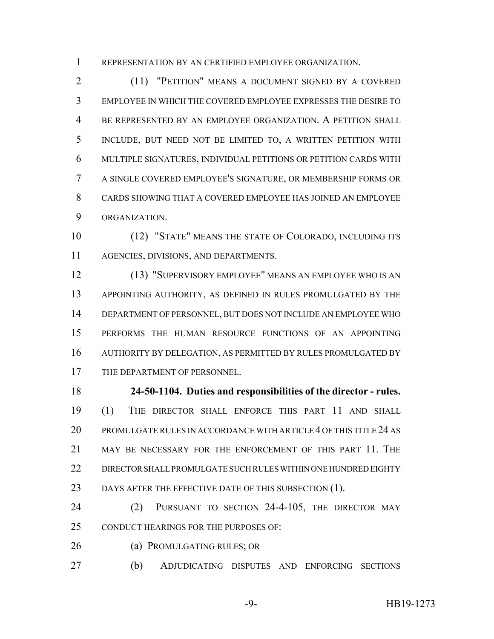REPRESENTATION BY AN CERTIFIED EMPLOYEE ORGANIZATION.

 (11) "PETITION" MEANS A DOCUMENT SIGNED BY A COVERED EMPLOYEE IN WHICH THE COVERED EMPLOYEE EXPRESSES THE DESIRE TO BE REPRESENTED BY AN EMPLOYEE ORGANIZATION. A PETITION SHALL INCLUDE, BUT NEED NOT BE LIMITED TO, A WRITTEN PETITION WITH MULTIPLE SIGNATURES, INDIVIDUAL PETITIONS OR PETITION CARDS WITH A SINGLE COVERED EMPLOYEE'S SIGNATURE, OR MEMBERSHIP FORMS OR CARDS SHOWING THAT A COVERED EMPLOYEE HAS JOINED AN EMPLOYEE ORGANIZATION.

 (12) "STATE" MEANS THE STATE OF COLORADO, INCLUDING ITS AGENCIES, DIVISIONS, AND DEPARTMENTS.

 (13) "SUPERVISORY EMPLOYEE" MEANS AN EMPLOYEE WHO IS AN APPOINTING AUTHORITY, AS DEFINED IN RULES PROMULGATED BY THE DEPARTMENT OF PERSONNEL, BUT DOES NOT INCLUDE AN EMPLOYEE WHO PERFORMS THE HUMAN RESOURCE FUNCTIONS OF AN APPOINTING AUTHORITY BY DELEGATION, AS PERMITTED BY RULES PROMULGATED BY 17 THE DEPARTMENT OF PERSONNEL.

 **24-50-1104. Duties and responsibilities of the director - rules.** (1) THE DIRECTOR SHALL ENFORCE THIS PART 11 AND SHALL PROMULGATE RULES IN ACCORDANCE WITH ARTICLE 4 OF THIS TITLE 24 AS MAY BE NECESSARY FOR THE ENFORCEMENT OF THIS PART 11. THE DIRECTOR SHALL PROMULGATE SUCH RULES WITHIN ONE HUNDRED EIGHTY 23 DAYS AFTER THE EFFECTIVE DATE OF THIS SUBSECTION (1).

 (2) PURSUANT TO SECTION 24-4-105, THE DIRECTOR MAY CONDUCT HEARINGS FOR THE PURPOSES OF:

26 (a) PROMULGATING RULES; OR

(b) ADJUDICATING DISPUTES AND ENFORCING SECTIONS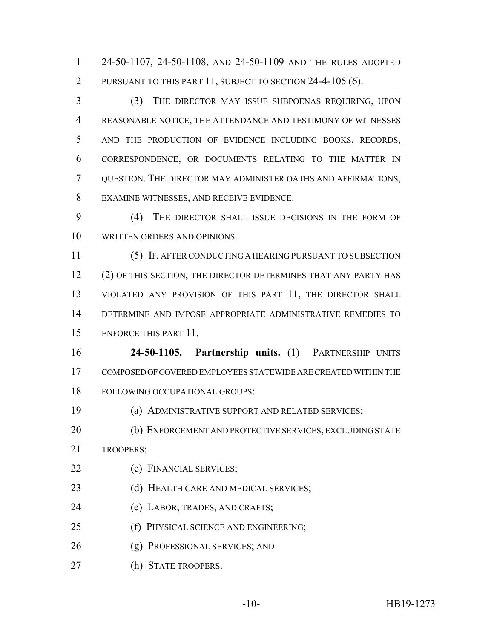24-50-1107, 24-50-1108, AND 24-50-1109 AND THE RULES ADOPTED PURSUANT TO THIS PART 11, SUBJECT TO SECTION 24-4-105 (6).

 (3) THE DIRECTOR MAY ISSUE SUBPOENAS REQUIRING, UPON REASONABLE NOTICE, THE ATTENDANCE AND TESTIMONY OF WITNESSES AND THE PRODUCTION OF EVIDENCE INCLUDING BOOKS, RECORDS, CORRESPONDENCE, OR DOCUMENTS RELATING TO THE MATTER IN QUESTION. THE DIRECTOR MAY ADMINISTER OATHS AND AFFIRMATIONS, EXAMINE WITNESSES, AND RECEIVE EVIDENCE.

 (4) THE DIRECTOR SHALL ISSUE DECISIONS IN THE FORM OF WRITTEN ORDERS AND OPINIONS.

 (5) IF, AFTER CONDUCTING A HEARING PURSUANT TO SUBSECTION 12 (2) OF THIS SECTION, THE DIRECTOR DETERMINES THAT ANY PARTY HAS 13 VIOLATED ANY PROVISION OF THIS PART 11, THE DIRECTOR SHALL DETERMINE AND IMPOSE APPROPRIATE ADMINISTRATIVE REMEDIES TO ENFORCE THIS PART 11.

 **24-50-1105. Partnership units.** (1) PARTNERSHIP UNITS COMPOSED OF COVERED EMPLOYEES STATEWIDE ARE CREATED WITHIN THE FOLLOWING OCCUPATIONAL GROUPS:

(a) ADMINISTRATIVE SUPPORT AND RELATED SERVICES;

 (b) ENFORCEMENT AND PROTECTIVE SERVICES, EXCLUDING STATE TROOPERS;

- 22 (c) FINANCIAL SERVICES;
- 23 (d) HEALTH CARE AND MEDICAL SERVICES;
- (e) LABOR, TRADES, AND CRAFTS;
- (f) PHYSICAL SCIENCE AND ENGINEERING;
- (g) PROFESSIONAL SERVICES; AND
- (h) STATE TROOPERS.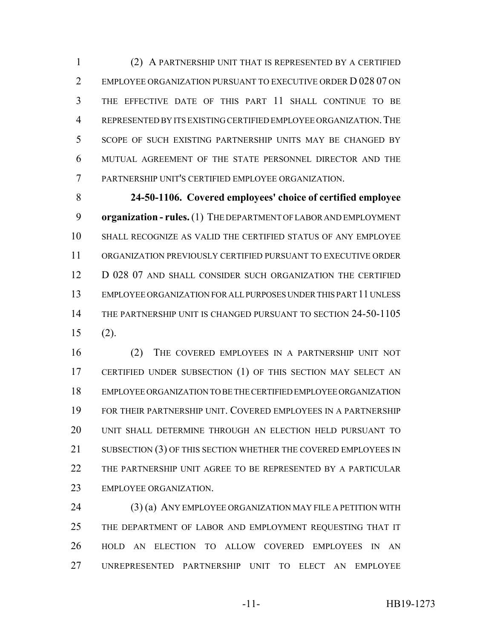(2) A PARTNERSHIP UNIT THAT IS REPRESENTED BY A CERTIFIED 2 EMPLOYEE ORGANIZATION PURSUANT TO EXECUTIVE ORDER D 028 07 ON THE EFFECTIVE DATE OF THIS PART 11 SHALL CONTINUE TO BE REPRESENTED BY ITS EXISTING CERTIFIED EMPLOYEE ORGANIZATION.THE SCOPE OF SUCH EXISTING PARTNERSHIP UNITS MAY BE CHANGED BY MUTUAL AGREEMENT OF THE STATE PERSONNEL DIRECTOR AND THE PARTNERSHIP UNIT'S CERTIFIED EMPLOYEE ORGANIZATION.

 **24-50-1106. Covered employees' choice of certified employee organization - rules.** (1) THE DEPARTMENT OF LABOR AND EMPLOYMENT SHALL RECOGNIZE AS VALID THE CERTIFIED STATUS OF ANY EMPLOYEE ORGANIZATION PREVIOUSLY CERTIFIED PURSUANT TO EXECUTIVE ORDER 12 D 028 07 AND SHALL CONSIDER SUCH ORGANIZATION THE CERTIFIED EMPLOYEE ORGANIZATION FOR ALL PURPOSES UNDER THIS PART 11 UNLESS THE PARTNERSHIP UNIT IS CHANGED PURSUANT TO SECTION 24-50-1105 (2).

 (2) THE COVERED EMPLOYEES IN A PARTNERSHIP UNIT NOT CERTIFIED UNDER SUBSECTION (1) OF THIS SECTION MAY SELECT AN EMPLOYEE ORGANIZATION TO BE THE CERTIFIED EMPLOYEE ORGANIZATION FOR THEIR PARTNERSHIP UNIT. COVERED EMPLOYEES IN A PARTNERSHIP UNIT SHALL DETERMINE THROUGH AN ELECTION HELD PURSUANT TO SUBSECTION (3) OF THIS SECTION WHETHER THE COVERED EMPLOYEES IN THE PARTNERSHIP UNIT AGREE TO BE REPRESENTED BY A PARTICULAR EMPLOYEE ORGANIZATION.

24 (3) (a) ANY EMPLOYEE ORGANIZATION MAY FILE A PETITION WITH THE DEPARTMENT OF LABOR AND EMPLOYMENT REQUESTING THAT IT HOLD AN ELECTION TO ALLOW COVERED EMPLOYEES IN AN UNREPRESENTED PARTNERSHIP UNIT TO ELECT AN EMPLOYEE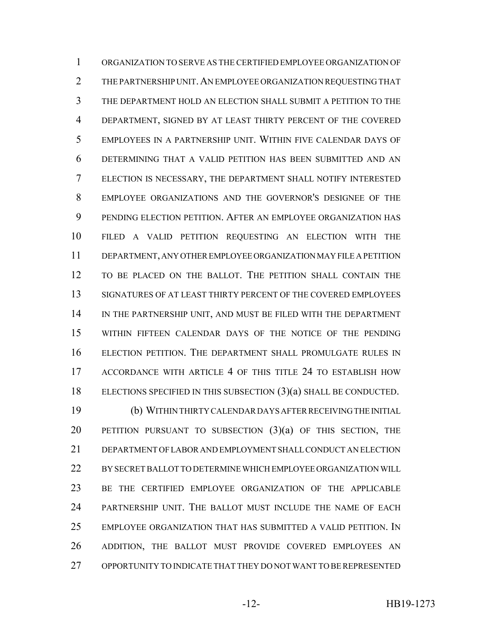ORGANIZATION TO SERVE AS THE CERTIFIED EMPLOYEE ORGANIZATION OF THE PARTNERSHIP UNIT.AN EMPLOYEE ORGANIZATION REQUESTING THAT THE DEPARTMENT HOLD AN ELECTION SHALL SUBMIT A PETITION TO THE DEPARTMENT, SIGNED BY AT LEAST THIRTY PERCENT OF THE COVERED EMPLOYEES IN A PARTNERSHIP UNIT. WITHIN FIVE CALENDAR DAYS OF DETERMINING THAT A VALID PETITION HAS BEEN SUBMITTED AND AN ELECTION IS NECESSARY, THE DEPARTMENT SHALL NOTIFY INTERESTED EMPLOYEE ORGANIZATIONS AND THE GOVERNOR'S DESIGNEE OF THE PENDING ELECTION PETITION. AFTER AN EMPLOYEE ORGANIZATION HAS FILED A VALID PETITION REQUESTING AN ELECTION WITH THE DEPARTMENT, ANY OTHER EMPLOYEE ORGANIZATION MAY FILE A PETITION TO BE PLACED ON THE BALLOT. THE PETITION SHALL CONTAIN THE SIGNATURES OF AT LEAST THIRTY PERCENT OF THE COVERED EMPLOYEES IN THE PARTNERSHIP UNIT, AND MUST BE FILED WITH THE DEPARTMENT WITHIN FIFTEEN CALENDAR DAYS OF THE NOTICE OF THE PENDING ELECTION PETITION. THE DEPARTMENT SHALL PROMULGATE RULES IN ACCORDANCE WITH ARTICLE 4 OF THIS TITLE 24 TO ESTABLISH HOW ELECTIONS SPECIFIED IN THIS SUBSECTION (3)(a) SHALL BE CONDUCTED.

 (b) WITHIN THIRTY CALENDAR DAYS AFTER RECEIVING THE INITIAL 20 PETITION PURSUANT TO SUBSECTION  $(3)(a)$  of this section, the DEPARTMENT OF LABOR AND EMPLOYMENT SHALL CONDUCT AN ELECTION BY SECRET BALLOT TO DETERMINE WHICH EMPLOYEE ORGANIZATION WILL BE THE CERTIFIED EMPLOYEE ORGANIZATION OF THE APPLICABLE PARTNERSHIP UNIT. THE BALLOT MUST INCLUDE THE NAME OF EACH EMPLOYEE ORGANIZATION THAT HAS SUBMITTED A VALID PETITION. IN ADDITION, THE BALLOT MUST PROVIDE COVERED EMPLOYEES AN OPPORTUNITY TO INDICATE THAT THEY DO NOT WANT TO BE REPRESENTED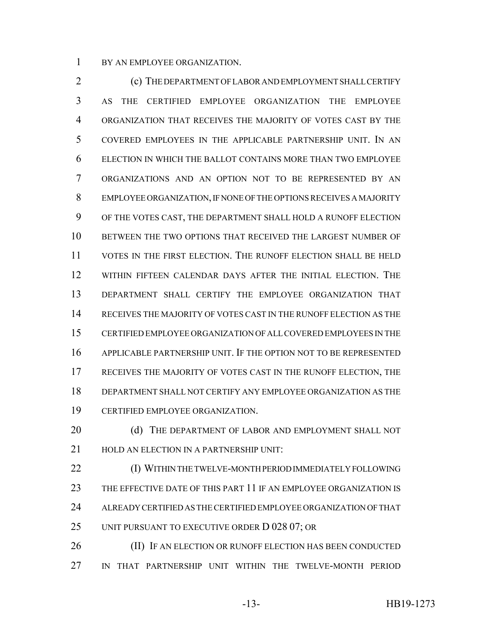BY AN EMPLOYEE ORGANIZATION.

 (c) THE DEPARTMENT OF LABOR AND EMPLOYMENT SHALL CERTIFY AS THE CERTIFIED EMPLOYEE ORGANIZATION THE EMPLOYEE ORGANIZATION THAT RECEIVES THE MAJORITY OF VOTES CAST BY THE COVERED EMPLOYEES IN THE APPLICABLE PARTNERSHIP UNIT. IN AN ELECTION IN WHICH THE BALLOT CONTAINS MORE THAN TWO EMPLOYEE ORGANIZATIONS AND AN OPTION NOT TO BE REPRESENTED BY AN EMPLOYEE ORGANIZATION, IF NONE OF THE OPTIONS RECEIVES A MAJORITY OF THE VOTES CAST, THE DEPARTMENT SHALL HOLD A RUNOFF ELECTION BETWEEN THE TWO OPTIONS THAT RECEIVED THE LARGEST NUMBER OF VOTES IN THE FIRST ELECTION. THE RUNOFF ELECTION SHALL BE HELD WITHIN FIFTEEN CALENDAR DAYS AFTER THE INITIAL ELECTION. THE DEPARTMENT SHALL CERTIFY THE EMPLOYEE ORGANIZATION THAT RECEIVES THE MAJORITY OF VOTES CAST IN THE RUNOFF ELECTION AS THE CERTIFIED EMPLOYEE ORGANIZATION OF ALL COVERED EMPLOYEES IN THE APPLICABLE PARTNERSHIP UNIT. IF THE OPTION NOT TO BE REPRESENTED RECEIVES THE MAJORITY OF VOTES CAST IN THE RUNOFF ELECTION, THE DEPARTMENT SHALL NOT CERTIFY ANY EMPLOYEE ORGANIZATION AS THE CERTIFIED EMPLOYEE ORGANIZATION.

20 (d) THE DEPARTMENT OF LABOR AND EMPLOYMENT SHALL NOT 21 HOLD AN ELECTION IN A PARTNERSHIP UNIT:

 (I) WITHIN THE TWELVE-MONTH PERIOD IMMEDIATELY FOLLOWING THE EFFECTIVE DATE OF THIS PART 11 IF AN EMPLOYEE ORGANIZATION IS ALREADY CERTIFIED AS THE CERTIFIED EMPLOYEE ORGANIZATION OF THAT UNIT PURSUANT TO EXECUTIVE ORDER D 028 07; OR

26 (II) IF AN ELECTION OR RUNOFF ELECTION HAS BEEN CONDUCTED IN THAT PARTNERSHIP UNIT WITHIN THE TWELVE-MONTH PERIOD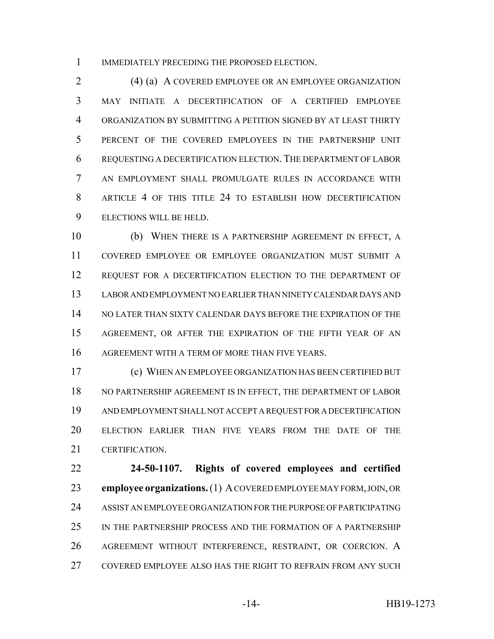1 IMMEDIATELY PRECEDING THE PROPOSED ELECTION.

 (4) (a) A COVERED EMPLOYEE OR AN EMPLOYEE ORGANIZATION MAY INITIATE A DECERTIFICATION OF A CERTIFIED EMPLOYEE ORGANIZATION BY SUBMITTING A PETITION SIGNED BY AT LEAST THIRTY PERCENT OF THE COVERED EMPLOYEES IN THE PARTNERSHIP UNIT REQUESTING A DECERTIFICATION ELECTION. THE DEPARTMENT OF LABOR AN EMPLOYMENT SHALL PROMULGATE RULES IN ACCORDANCE WITH ARTICLE 4 OF THIS TITLE 24 TO ESTABLISH HOW DECERTIFICATION ELECTIONS WILL BE HELD.

 (b) WHEN THERE IS A PARTNERSHIP AGREEMENT IN EFFECT, A COVERED EMPLOYEE OR EMPLOYEE ORGANIZATION MUST SUBMIT A 12 REQUEST FOR A DECERTIFICATION ELECTION TO THE DEPARTMENT OF LABOR AND EMPLOYMENT NO EARLIER THAN NINETY CALENDAR DAYS AND NO LATER THAN SIXTY CALENDAR DAYS BEFORE THE EXPIRATION OF THE AGREEMENT, OR AFTER THE EXPIRATION OF THE FIFTH YEAR OF AN AGREEMENT WITH A TERM OF MORE THAN FIVE YEARS.

 (c) WHEN AN EMPLOYEE ORGANIZATION HAS BEEN CERTIFIED BUT NO PARTNERSHIP AGREEMENT IS IN EFFECT, THE DEPARTMENT OF LABOR AND EMPLOYMENT SHALL NOT ACCEPT A REQUEST FOR A DECERTIFICATION ELECTION EARLIER THAN FIVE YEARS FROM THE DATE OF THE CERTIFICATION.

 **24-50-1107. Rights of covered employees and certified employee organizations.** (1) A COVERED EMPLOYEE MAY FORM, JOIN, OR ASSIST AN EMPLOYEE ORGANIZATION FOR THE PURPOSE OF PARTICIPATING IN THE PARTNERSHIP PROCESS AND THE FORMATION OF A PARTNERSHIP AGREEMENT WITHOUT INTERFERENCE, RESTRAINT, OR COERCION. A COVERED EMPLOYEE ALSO HAS THE RIGHT TO REFRAIN FROM ANY SUCH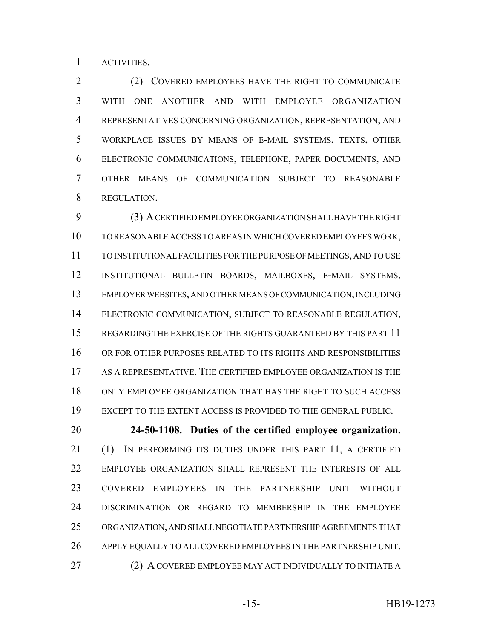ACTIVITIES.

 (2) COVERED EMPLOYEES HAVE THE RIGHT TO COMMUNICATE WITH ONE ANOTHER AND WITH EMPLOYEE ORGANIZATION REPRESENTATIVES CONCERNING ORGANIZATION, REPRESENTATION, AND WORKPLACE ISSUES BY MEANS OF E-MAIL SYSTEMS, TEXTS, OTHER ELECTRONIC COMMUNICATIONS, TELEPHONE, PAPER DOCUMENTS, AND OTHER MEANS OF COMMUNICATION SUBJECT TO REASONABLE REGULATION.

 (3) A CERTIFIED EMPLOYEE ORGANIZATION SHALL HAVE THE RIGHT TO REASONABLE ACCESS TO AREAS IN WHICH COVERED EMPLOYEES WORK, TO INSTITUTIONAL FACILITIES FOR THE PURPOSE OF MEETINGS, AND TO USE INSTITUTIONAL BULLETIN BOARDS, MAILBOXES, E-MAIL SYSTEMS, EMPLOYER WEBSITES, AND OTHER MEANS OF COMMUNICATION, INCLUDING ELECTRONIC COMMUNICATION, SUBJECT TO REASONABLE REGULATION, REGARDING THE EXERCISE OF THE RIGHTS GUARANTEED BY THIS PART 11 OR FOR OTHER PURPOSES RELATED TO ITS RIGHTS AND RESPONSIBILITIES AS A REPRESENTATIVE. THE CERTIFIED EMPLOYEE ORGANIZATION IS THE ONLY EMPLOYEE ORGANIZATION THAT HAS THE RIGHT TO SUCH ACCESS EXCEPT TO THE EXTENT ACCESS IS PROVIDED TO THE GENERAL PUBLIC.

 **24-50-1108. Duties of the certified employee organization.** (1) IN PERFORMING ITS DUTIES UNDER THIS PART 11, A CERTIFIED EMPLOYEE ORGANIZATION SHALL REPRESENT THE INTERESTS OF ALL COVERED EMPLOYEES IN THE PARTNERSHIP UNIT WITHOUT DISCRIMINATION OR REGARD TO MEMBERSHIP IN THE EMPLOYEE ORGANIZATION, AND SHALL NEGOTIATE PARTNERSHIP AGREEMENTS THAT APPLY EQUALLY TO ALL COVERED EMPLOYEES IN THE PARTNERSHIP UNIT. (2) A COVERED EMPLOYEE MAY ACT INDIVIDUALLY TO INITIATE A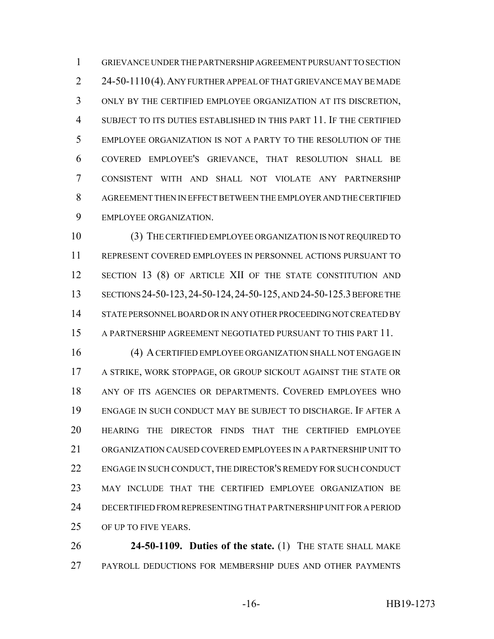GRIEVANCE UNDER THE PARTNERSHIP AGREEMENT PURSUANT TO SECTION 2 24-50-1110(4). ANY FURTHER APPEAL OF THAT GRIEVANCE MAY BE MADE ONLY BY THE CERTIFIED EMPLOYEE ORGANIZATION AT ITS DISCRETION, SUBJECT TO ITS DUTIES ESTABLISHED IN THIS PART 11. IF THE CERTIFIED EMPLOYEE ORGANIZATION IS NOT A PARTY TO THE RESOLUTION OF THE COVERED EMPLOYEE'S GRIEVANCE, THAT RESOLUTION SHALL BE CONSISTENT WITH AND SHALL NOT VIOLATE ANY PARTNERSHIP AGREEMENT THEN IN EFFECT BETWEEN THE EMPLOYER AND THE CERTIFIED EMPLOYEE ORGANIZATION.

 (3) THE CERTIFIED EMPLOYEE ORGANIZATION IS NOT REQUIRED TO REPRESENT COVERED EMPLOYEES IN PERSONNEL ACTIONS PURSUANT TO 12 SECTION 13 (8) OF ARTICLE XII OF THE STATE CONSTITUTION AND 13 SECTIONS 24-50-123, 24-50-124, 24-50-125, AND 24-50-125.3 BEFORE THE STATE PERSONNEL BOARD OR IN ANY OTHER PROCEEDING NOT CREATED BY A PARTNERSHIP AGREEMENT NEGOTIATED PURSUANT TO THIS PART 11.

 (4) A CERTIFIED EMPLOYEE ORGANIZATION SHALL NOT ENGAGE IN A STRIKE, WORK STOPPAGE, OR GROUP SICKOUT AGAINST THE STATE OR ANY OF ITS AGENCIES OR DEPARTMENTS. COVERED EMPLOYEES WHO ENGAGE IN SUCH CONDUCT MAY BE SUBJECT TO DISCHARGE. IF AFTER A HEARING THE DIRECTOR FINDS THAT THE CERTIFIED EMPLOYEE ORGANIZATION CAUSED COVERED EMPLOYEES IN A PARTNERSHIP UNIT TO ENGAGE IN SUCH CONDUCT, THE DIRECTOR'S REMEDY FOR SUCH CONDUCT MAY INCLUDE THAT THE CERTIFIED EMPLOYEE ORGANIZATION BE DECERTIFIED FROM REPRESENTING THAT PARTNERSHIP UNIT FOR A PERIOD OF UP TO FIVE YEARS.

 **24-50-1109. Duties of the state.** (1) THE STATE SHALL MAKE PAYROLL DEDUCTIONS FOR MEMBERSHIP DUES AND OTHER PAYMENTS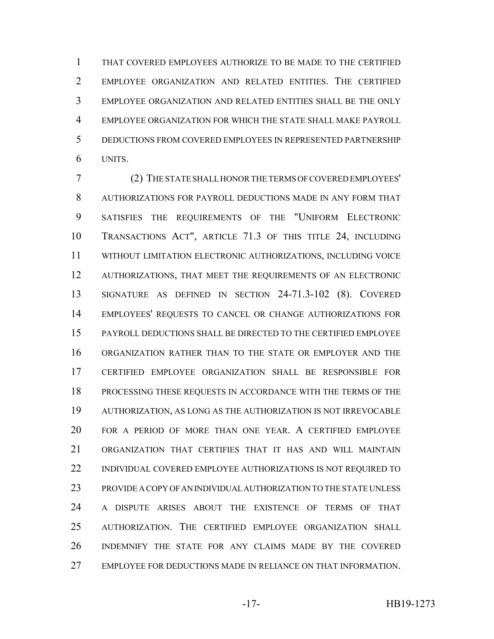THAT COVERED EMPLOYEES AUTHORIZE TO BE MADE TO THE CERTIFIED EMPLOYEE ORGANIZATION AND RELATED ENTITIES. THE CERTIFIED EMPLOYEE ORGANIZATION AND RELATED ENTITIES SHALL BE THE ONLY EMPLOYEE ORGANIZATION FOR WHICH THE STATE SHALL MAKE PAYROLL DEDUCTIONS FROM COVERED EMPLOYEES IN REPRESENTED PARTNERSHIP UNITS.

 (2) THE STATE SHALL HONOR THE TERMS OF COVERED EMPLOYEES' AUTHORIZATIONS FOR PAYROLL DEDUCTIONS MADE IN ANY FORM THAT SATISFIES THE REQUIREMENTS OF THE "UNIFORM ELECTRONIC TRANSACTIONS ACT", ARTICLE 71.3 OF THIS TITLE 24, INCLUDING WITHOUT LIMITATION ELECTRONIC AUTHORIZATIONS, INCLUDING VOICE AUTHORIZATIONS, THAT MEET THE REQUIREMENTS OF AN ELECTRONIC SIGNATURE AS DEFINED IN SECTION 24-71.3-102 (8). COVERED EMPLOYEES' REQUESTS TO CANCEL OR CHANGE AUTHORIZATIONS FOR PAYROLL DEDUCTIONS SHALL BE DIRECTED TO THE CERTIFIED EMPLOYEE ORGANIZATION RATHER THAN TO THE STATE OR EMPLOYER AND THE CERTIFIED EMPLOYEE ORGANIZATION SHALL BE RESPONSIBLE FOR PROCESSING THESE REQUESTS IN ACCORDANCE WITH THE TERMS OF THE AUTHORIZATION, AS LONG AS THE AUTHORIZATION IS NOT IRREVOCABLE FOR A PERIOD OF MORE THAN ONE YEAR. A CERTIFIED EMPLOYEE ORGANIZATION THAT CERTIFIES THAT IT HAS AND WILL MAINTAIN INDIVIDUAL COVERED EMPLOYEE AUTHORIZATIONS IS NOT REQUIRED TO PROVIDE A COPY OF AN INDIVIDUAL AUTHORIZATION TO THE STATE UNLESS A DISPUTE ARISES ABOUT THE EXISTENCE OF TERMS OF THAT AUTHORIZATION. THE CERTIFIED EMPLOYEE ORGANIZATION SHALL INDEMNIFY THE STATE FOR ANY CLAIMS MADE BY THE COVERED EMPLOYEE FOR DEDUCTIONS MADE IN RELIANCE ON THAT INFORMATION.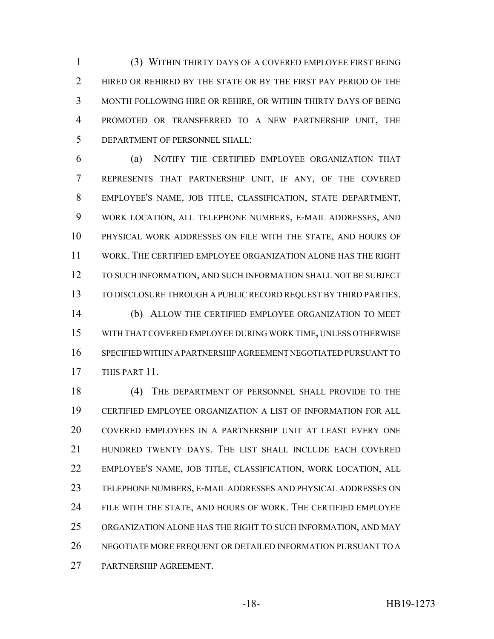(3) WITHIN THIRTY DAYS OF A COVERED EMPLOYEE FIRST BEING 2 HIRED OR REHIRED BY THE STATE OR BY THE FIRST PAY PERIOD OF THE MONTH FOLLOWING HIRE OR REHIRE, OR WITHIN THIRTY DAYS OF BEING PROMOTED OR TRANSFERRED TO A NEW PARTNERSHIP UNIT, THE DEPARTMENT OF PERSONNEL SHALL:

 (a) NOTIFY THE CERTIFIED EMPLOYEE ORGANIZATION THAT REPRESENTS THAT PARTNERSHIP UNIT, IF ANY, OF THE COVERED EMPLOYEE'S NAME, JOB TITLE, CLASSIFICATION, STATE DEPARTMENT, WORK LOCATION, ALL TELEPHONE NUMBERS, E-MAIL ADDRESSES, AND PHYSICAL WORK ADDRESSES ON FILE WITH THE STATE, AND HOURS OF WORK. THE CERTIFIED EMPLOYEE ORGANIZATION ALONE HAS THE RIGHT TO SUCH INFORMATION, AND SUCH INFORMATION SHALL NOT BE SUBJECT TO DISCLOSURE THROUGH A PUBLIC RECORD REQUEST BY THIRD PARTIES.

 (b) ALLOW THE CERTIFIED EMPLOYEE ORGANIZATION TO MEET WITH THAT COVERED EMPLOYEE DURING WORK TIME, UNLESS OTHERWISE SPECIFIED WITHIN A PARTNERSHIP AGREEMENT NEGOTIATED PURSUANT TO THIS PART 11.

 (4) THE DEPARTMENT OF PERSONNEL SHALL PROVIDE TO THE CERTIFIED EMPLOYEE ORGANIZATION A LIST OF INFORMATION FOR ALL COVERED EMPLOYEES IN A PARTNERSHIP UNIT AT LEAST EVERY ONE HUNDRED TWENTY DAYS. THE LIST SHALL INCLUDE EACH COVERED EMPLOYEE'S NAME, JOB TITLE, CLASSIFICATION, WORK LOCATION, ALL TELEPHONE NUMBERS, E-MAIL ADDRESSES AND PHYSICAL ADDRESSES ON FILE WITH THE STATE, AND HOURS OF WORK. THE CERTIFIED EMPLOYEE ORGANIZATION ALONE HAS THE RIGHT TO SUCH INFORMATION, AND MAY NEGOTIATE MORE FREQUENT OR DETAILED INFORMATION PURSUANT TO A PARTNERSHIP AGREEMENT.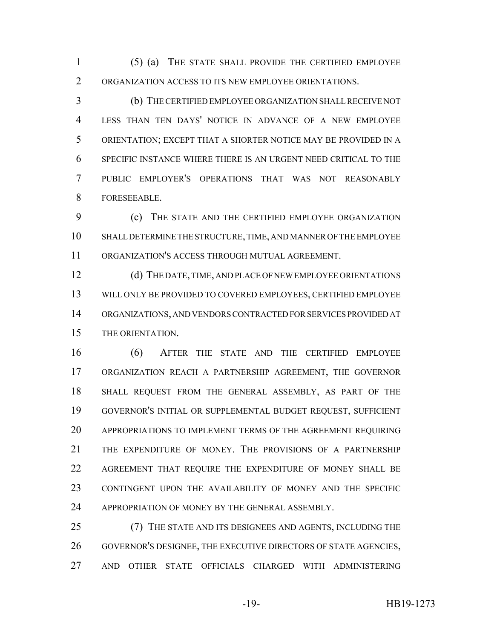(5) (a) THE STATE SHALL PROVIDE THE CERTIFIED EMPLOYEE ORGANIZATION ACCESS TO ITS NEW EMPLOYEE ORIENTATIONS.

 (b) THE CERTIFIED EMPLOYEE ORGANIZATION SHALL RECEIVE NOT LESS THAN TEN DAYS' NOTICE IN ADVANCE OF A NEW EMPLOYEE ORIENTATION; EXCEPT THAT A SHORTER NOTICE MAY BE PROVIDED IN A SPECIFIC INSTANCE WHERE THERE IS AN URGENT NEED CRITICAL TO THE PUBLIC EMPLOYER'S OPERATIONS THAT WAS NOT REASONABLY FORESEEABLE.

 (c) THE STATE AND THE CERTIFIED EMPLOYEE ORGANIZATION SHALL DETERMINE THE STRUCTURE, TIME, AND MANNER OF THE EMPLOYEE ORGANIZATION'S ACCESS THROUGH MUTUAL AGREEMENT.

 (d) THE DATE, TIME, AND PLACE OF NEW EMPLOYEE ORIENTATIONS WILL ONLY BE PROVIDED TO COVERED EMPLOYEES, CERTIFIED EMPLOYEE ORGANIZATIONS, AND VENDORS CONTRACTED FOR SERVICES PROVIDED AT THE ORIENTATION.

 (6) AFTER THE STATE AND THE CERTIFIED EMPLOYEE ORGANIZATION REACH A PARTNERSHIP AGREEMENT, THE GOVERNOR SHALL REQUEST FROM THE GENERAL ASSEMBLY, AS PART OF THE GOVERNOR'S INITIAL OR SUPPLEMENTAL BUDGET REQUEST, SUFFICIENT APPROPRIATIONS TO IMPLEMENT TERMS OF THE AGREEMENT REQUIRING THE EXPENDITURE OF MONEY. THE PROVISIONS OF A PARTNERSHIP AGREEMENT THAT REQUIRE THE EXPENDITURE OF MONEY SHALL BE CONTINGENT UPON THE AVAILABILITY OF MONEY AND THE SPECIFIC 24 APPROPRIATION OF MONEY BY THE GENERAL ASSEMBLY.

 (7) THE STATE AND ITS DESIGNEES AND AGENTS, INCLUDING THE GOVERNOR'S DESIGNEE, THE EXECUTIVE DIRECTORS OF STATE AGENCIES, AND OTHER STATE OFFICIALS CHARGED WITH ADMINISTERING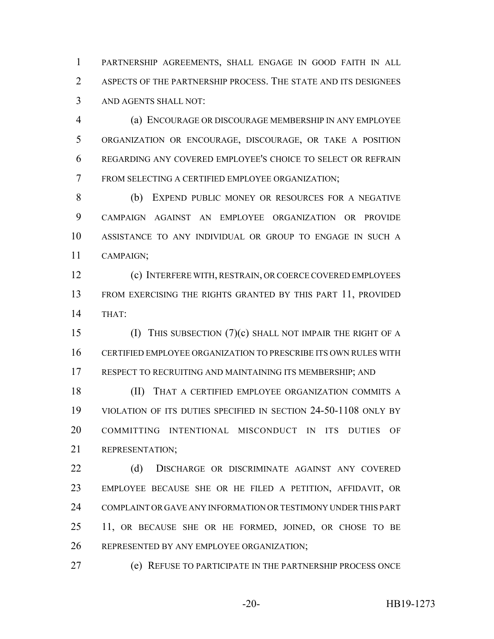PARTNERSHIP AGREEMENTS, SHALL ENGAGE IN GOOD FAITH IN ALL ASPECTS OF THE PARTNERSHIP PROCESS. THE STATE AND ITS DESIGNEES AND AGENTS SHALL NOT:

 (a) ENCOURAGE OR DISCOURAGE MEMBERSHIP IN ANY EMPLOYEE ORGANIZATION OR ENCOURAGE, DISCOURAGE, OR TAKE A POSITION REGARDING ANY COVERED EMPLOYEE'S CHOICE TO SELECT OR REFRAIN FROM SELECTING A CERTIFIED EMPLOYEE ORGANIZATION;

 (b) EXPEND PUBLIC MONEY OR RESOURCES FOR A NEGATIVE CAMPAIGN AGAINST AN EMPLOYEE ORGANIZATION OR PROVIDE ASSISTANCE TO ANY INDIVIDUAL OR GROUP TO ENGAGE IN SUCH A CAMPAIGN;

 (c) INTERFERE WITH, RESTRAIN, OR COERCE COVERED EMPLOYEES FROM EXERCISING THE RIGHTS GRANTED BY THIS PART 11, PROVIDED THAT:

 (I) THIS SUBSECTION (7)(c) SHALL NOT IMPAIR THE RIGHT OF A CERTIFIED EMPLOYEE ORGANIZATION TO PRESCRIBE ITS OWN RULES WITH RESPECT TO RECRUITING AND MAINTAINING ITS MEMBERSHIP; AND

 (II) THAT A CERTIFIED EMPLOYEE ORGANIZATION COMMITS A VIOLATION OF ITS DUTIES SPECIFIED IN SECTION 24-50-1108 ONLY BY COMMITTING INTENTIONAL MISCONDUCT IN ITS DUTIES OF REPRESENTATION;

22 (d) DISCHARGE OR DISCRIMINATE AGAINST ANY COVERED EMPLOYEE BECAUSE SHE OR HE FILED A PETITION, AFFIDAVIT, OR COMPLAINT OR GAVE ANY INFORMATION OR TESTIMONY UNDER THIS PART 11, OR BECAUSE SHE OR HE FORMED, JOINED, OR CHOSE TO BE REPRESENTED BY ANY EMPLOYEE ORGANIZATION;

(e) REFUSE TO PARTICIPATE IN THE PARTNERSHIP PROCESS ONCE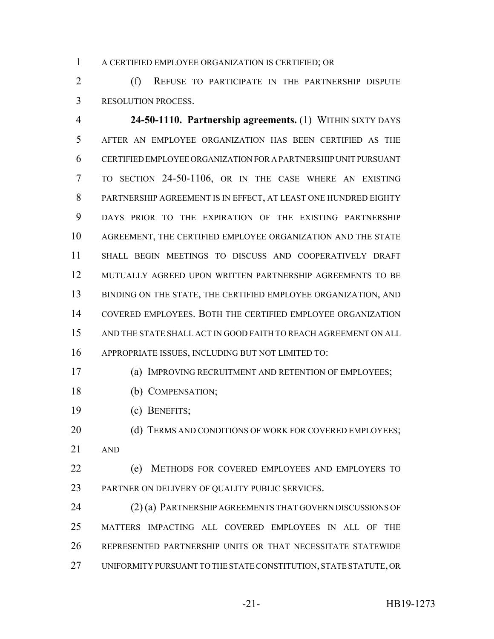A CERTIFIED EMPLOYEE ORGANIZATION IS CERTIFIED; OR

 (f) REFUSE TO PARTICIPATE IN THE PARTNERSHIP DISPUTE RESOLUTION PROCESS.

 **24-50-1110. Partnership agreements.** (1) WITHIN SIXTY DAYS AFTER AN EMPLOYEE ORGANIZATION HAS BEEN CERTIFIED AS THE CERTIFIED EMPLOYEE ORGANIZATION FOR A PARTNERSHIP UNIT PURSUANT TO SECTION 24-50-1106, OR IN THE CASE WHERE AN EXISTING PARTNERSHIP AGREEMENT IS IN EFFECT, AT LEAST ONE HUNDRED EIGHTY DAYS PRIOR TO THE EXPIRATION OF THE EXISTING PARTNERSHIP AGREEMENT, THE CERTIFIED EMPLOYEE ORGANIZATION AND THE STATE SHALL BEGIN MEETINGS TO DISCUSS AND COOPERATIVELY DRAFT MUTUALLY AGREED UPON WRITTEN PARTNERSHIP AGREEMENTS TO BE 13 BINDING ON THE STATE, THE CERTIFIED EMPLOYEE ORGANIZATION, AND COVERED EMPLOYEES. BOTH THE CERTIFIED EMPLOYEE ORGANIZATION AND THE STATE SHALL ACT IN GOOD FAITH TO REACH AGREEMENT ON ALL APPROPRIATE ISSUES, INCLUDING BUT NOT LIMITED TO:

- (a) IMPROVING RECRUITMENT AND RETENTION OF EMPLOYEES;
- (b) COMPENSATION;
- (c) BENEFITS;

20 (d) TERMS AND CONDITIONS OF WORK FOR COVERED EMPLOYEES; AND

 (e) METHODS FOR COVERED EMPLOYEES AND EMPLOYERS TO PARTNER ON DELIVERY OF QUALITY PUBLIC SERVICES.

 (2) (a) PARTNERSHIP AGREEMENTS THAT GOVERN DISCUSSIONS OF MATTERS IMPACTING ALL COVERED EMPLOYEES IN ALL OF THE REPRESENTED PARTNERSHIP UNITS OR THAT NECESSITATE STATEWIDE UNIFORMITY PURSUANT TO THE STATE CONSTITUTION, STATE STATUTE, OR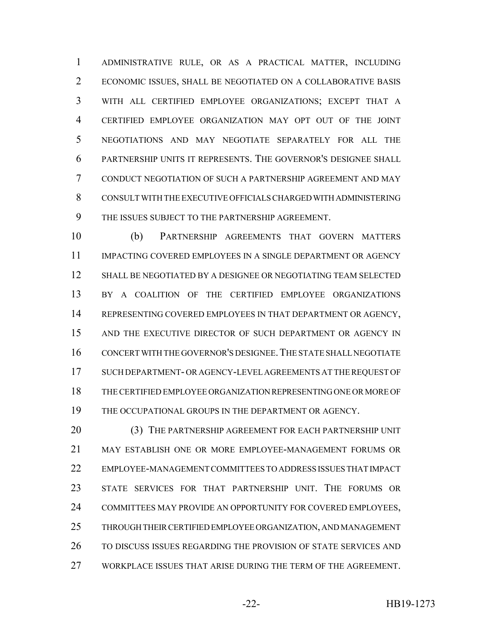ADMINISTRATIVE RULE, OR AS A PRACTICAL MATTER, INCLUDING ECONOMIC ISSUES, SHALL BE NEGOTIATED ON A COLLABORATIVE BASIS WITH ALL CERTIFIED EMPLOYEE ORGANIZATIONS; EXCEPT THAT A CERTIFIED EMPLOYEE ORGANIZATION MAY OPT OUT OF THE JOINT NEGOTIATIONS AND MAY NEGOTIATE SEPARATELY FOR ALL THE PARTNERSHIP UNITS IT REPRESENTS. THE GOVERNOR'S DESIGNEE SHALL CONDUCT NEGOTIATION OF SUCH A PARTNERSHIP AGREEMENT AND MAY CONSULT WITH THE EXECUTIVE OFFICIALS CHARGED WITH ADMINISTERING THE ISSUES SUBJECT TO THE PARTNERSHIP AGREEMENT.

 (b) PARTNERSHIP AGREEMENTS THAT GOVERN MATTERS IMPACTING COVERED EMPLOYEES IN A SINGLE DEPARTMENT OR AGENCY SHALL BE NEGOTIATED BY A DESIGNEE OR NEGOTIATING TEAM SELECTED 13 BY A COALITION OF THE CERTIFIED EMPLOYEE ORGANIZATIONS REPRESENTING COVERED EMPLOYEES IN THAT DEPARTMENT OR AGENCY, 15 AND THE EXECUTIVE DIRECTOR OF SUCH DEPARTMENT OR AGENCY IN CONCERT WITH THE GOVERNOR'S DESIGNEE.THE STATE SHALL NEGOTIATE SUCH DEPARTMENT- OR AGENCY-LEVEL AGREEMENTS AT THE REQUEST OF THE CERTIFIED EMPLOYEE ORGANIZATION REPRESENTING ONE OR MORE OF 19 THE OCCUPATIONAL GROUPS IN THE DEPARTMENT OR AGENCY.

20 (3) THE PARTNERSHIP AGREEMENT FOR EACH PARTNERSHIP UNIT MAY ESTABLISH ONE OR MORE EMPLOYEE-MANAGEMENT FORUMS OR EMPLOYEE-MANAGEMENT COMMITTEES TO ADDRESS ISSUES THAT IMPACT STATE SERVICES FOR THAT PARTNERSHIP UNIT. THE FORUMS OR COMMITTEES MAY PROVIDE AN OPPORTUNITY FOR COVERED EMPLOYEES, THROUGH THEIR CERTIFIED EMPLOYEE ORGANIZATION, AND MANAGEMENT 26 TO DISCUSS ISSUES REGARDING THE PROVISION OF STATE SERVICES AND WORKPLACE ISSUES THAT ARISE DURING THE TERM OF THE AGREEMENT.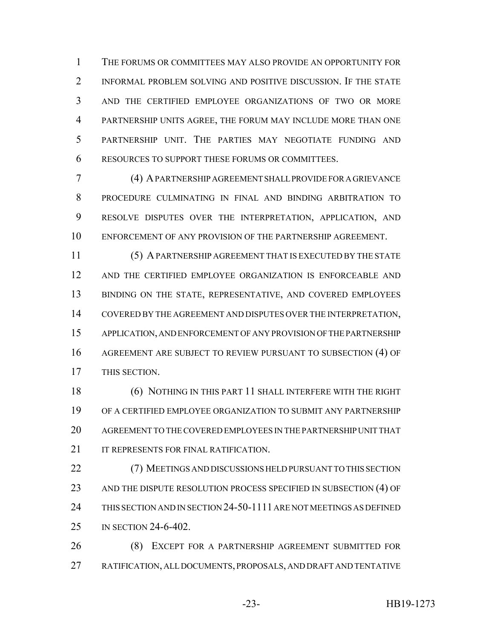THE FORUMS OR COMMITTEES MAY ALSO PROVIDE AN OPPORTUNITY FOR INFORMAL PROBLEM SOLVING AND POSITIVE DISCUSSION. IF THE STATE AND THE CERTIFIED EMPLOYEE ORGANIZATIONS OF TWO OR MORE PARTNERSHIP UNITS AGREE, THE FORUM MAY INCLUDE MORE THAN ONE PARTNERSHIP UNIT. THE PARTIES MAY NEGOTIATE FUNDING AND RESOURCES TO SUPPORT THESE FORUMS OR COMMITTEES.

 (4) A PARTNERSHIP AGREEMENT SHALL PROVIDE FOR A GRIEVANCE PROCEDURE CULMINATING IN FINAL AND BINDING ARBITRATION TO RESOLVE DISPUTES OVER THE INTERPRETATION, APPLICATION, AND ENFORCEMENT OF ANY PROVISION OF THE PARTNERSHIP AGREEMENT.

 (5) A PARTNERSHIP AGREEMENT THAT IS EXECUTED BY THE STATE AND THE CERTIFIED EMPLOYEE ORGANIZATION IS ENFORCEABLE AND 13 BINDING ON THE STATE, REPRESENTATIVE, AND COVERED EMPLOYEES COVERED BY THE AGREEMENT AND DISPUTES OVER THE INTERPRETATION, APPLICATION, AND ENFORCEMENT OF ANY PROVISION OF THE PARTNERSHIP AGREEMENT ARE SUBJECT TO REVIEW PURSUANT TO SUBSECTION (4) OF THIS SECTION.

 (6) NOTHING IN THIS PART 11 SHALL INTERFERE WITH THE RIGHT OF A CERTIFIED EMPLOYEE ORGANIZATION TO SUBMIT ANY PARTNERSHIP AGREEMENT TO THE COVERED EMPLOYEES IN THE PARTNERSHIP UNIT THAT 21 IT REPRESENTS FOR FINAL RATIFICATION.

 (7) MEETINGS AND DISCUSSIONS HELD PURSUANT TO THIS SECTION 23 AND THE DISPUTE RESOLUTION PROCESS SPECIFIED IN SUBSECTION (4) OF THIS SECTION AND IN SECTION 24-50-1111 ARE NOT MEETINGS AS DEFINED IN SECTION 24-6-402.

 (8) EXCEPT FOR A PARTNERSHIP AGREEMENT SUBMITTED FOR RATIFICATION, ALL DOCUMENTS, PROPOSALS, AND DRAFT AND TENTATIVE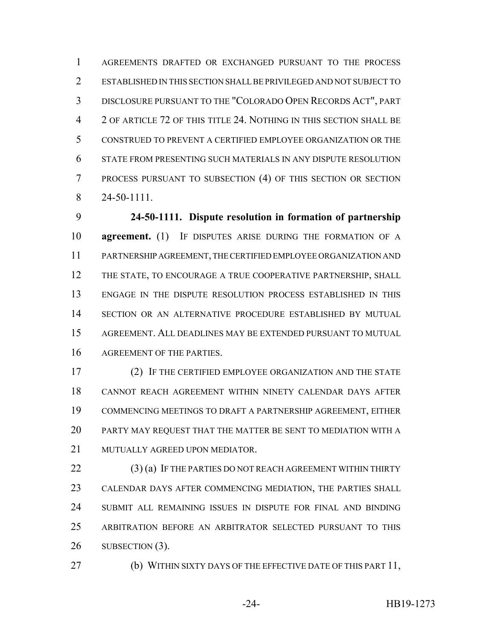AGREEMENTS DRAFTED OR EXCHANGED PURSUANT TO THE PROCESS ESTABLISHED IN THIS SECTION SHALL BE PRIVILEGED AND NOT SUBJECT TO DISCLOSURE PURSUANT TO THE "COLORADO OPEN RECORDS ACT", PART 2 OF ARTICLE 72 OF THIS TITLE 24. NOTHING IN THIS SECTION SHALL BE CONSTRUED TO PREVENT A CERTIFIED EMPLOYEE ORGANIZATION OR THE STATE FROM PRESENTING SUCH MATERIALS IN ANY DISPUTE RESOLUTION PROCESS PURSUANT TO SUBSECTION (4) OF THIS SECTION OR SECTION 24-50-1111.

 **24-50-1111. Dispute resolution in formation of partnership agreement.** (1) IF DISPUTES ARISE DURING THE FORMATION OF A PARTNERSHIP AGREEMENT, THE CERTIFIED EMPLOYEE ORGANIZATION AND 12 THE STATE, TO ENCOURAGE A TRUE COOPERATIVE PARTNERSHIP, SHALL ENGAGE IN THE DISPUTE RESOLUTION PROCESS ESTABLISHED IN THIS SECTION OR AN ALTERNATIVE PROCEDURE ESTABLISHED BY MUTUAL AGREEMENT. ALL DEADLINES MAY BE EXTENDED PURSUANT TO MUTUAL AGREEMENT OF THE PARTIES.

 (2) IF THE CERTIFIED EMPLOYEE ORGANIZATION AND THE STATE CANNOT REACH AGREEMENT WITHIN NINETY CALENDAR DAYS AFTER COMMENCING MEETINGS TO DRAFT A PARTNERSHIP AGREEMENT, EITHER PARTY MAY REQUEST THAT THE MATTER BE SENT TO MEDIATION WITH A MUTUALLY AGREED UPON MEDIATOR.

22 (3) (a) IF THE PARTIES DO NOT REACH AGREEMENT WITHIN THIRTY CALENDAR DAYS AFTER COMMENCING MEDIATION, THE PARTIES SHALL SUBMIT ALL REMAINING ISSUES IN DISPUTE FOR FINAL AND BINDING ARBITRATION BEFORE AN ARBITRATOR SELECTED PURSUANT TO THIS 26 SUBSECTION (3).

27 (b) WITHIN SIXTY DAYS OF THE EFFECTIVE DATE OF THIS PART 11,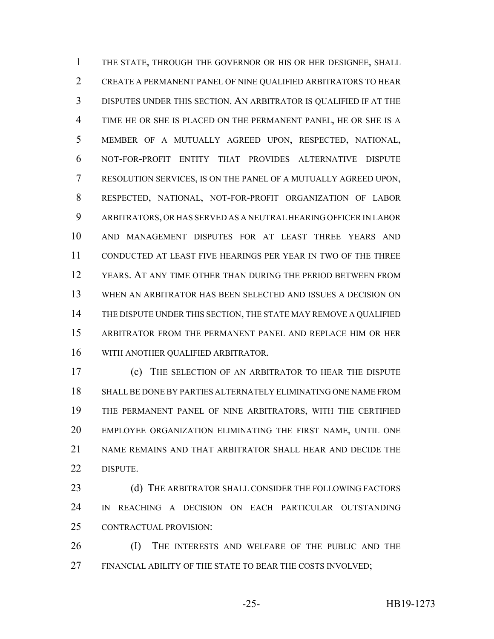THE STATE, THROUGH THE GOVERNOR OR HIS OR HER DESIGNEE, SHALL CREATE A PERMANENT PANEL OF NINE QUALIFIED ARBITRATORS TO HEAR DISPUTES UNDER THIS SECTION. AN ARBITRATOR IS QUALIFIED IF AT THE TIME HE OR SHE IS PLACED ON THE PERMANENT PANEL, HE OR SHE IS A MEMBER OF A MUTUALLY AGREED UPON, RESPECTED, NATIONAL, NOT-FOR-PROFIT ENTITY THAT PROVIDES ALTERNATIVE DISPUTE RESOLUTION SERVICES, IS ON THE PANEL OF A MUTUALLY AGREED UPON, RESPECTED, NATIONAL, NOT-FOR-PROFIT ORGANIZATION OF LABOR ARBITRATORS, OR HAS SERVED AS A NEUTRAL HEARING OFFICER IN LABOR AND MANAGEMENT DISPUTES FOR AT LEAST THREE YEARS AND CONDUCTED AT LEAST FIVE HEARINGS PER YEAR IN TWO OF THE THREE YEARS. AT ANY TIME OTHER THAN DURING THE PERIOD BETWEEN FROM WHEN AN ARBITRATOR HAS BEEN SELECTED AND ISSUES A DECISION ON THE DISPUTE UNDER THIS SECTION, THE STATE MAY REMOVE A QUALIFIED ARBITRATOR FROM THE PERMANENT PANEL AND REPLACE HIM OR HER WITH ANOTHER QUALIFIED ARBITRATOR.

 (c) THE SELECTION OF AN ARBITRATOR TO HEAR THE DISPUTE SHALL BE DONE BY PARTIES ALTERNATELY ELIMINATING ONE NAME FROM THE PERMANENT PANEL OF NINE ARBITRATORS, WITH THE CERTIFIED EMPLOYEE ORGANIZATION ELIMINATING THE FIRST NAME, UNTIL ONE NAME REMAINS AND THAT ARBITRATOR SHALL HEAR AND DECIDE THE DISPUTE.

23 (d) THE ARBITRATOR SHALL CONSIDER THE FOLLOWING FACTORS IN REACHING A DECISION ON EACH PARTICULAR OUTSTANDING CONTRACTUAL PROVISION:

 (I) THE INTERESTS AND WELFARE OF THE PUBLIC AND THE 27 FINANCIAL ABILITY OF THE STATE TO BEAR THE COSTS INVOLVED;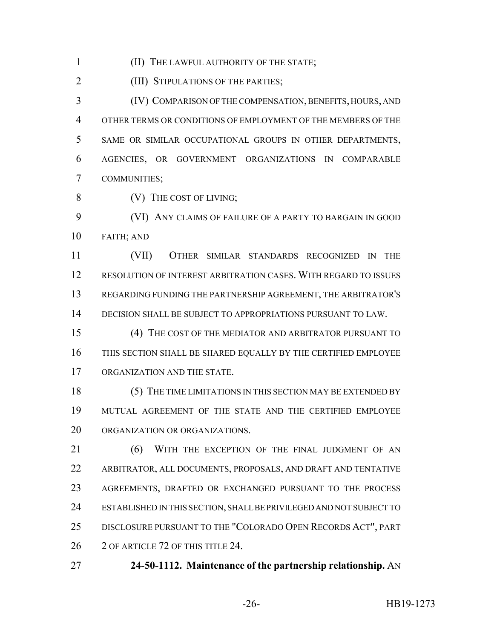(II) THE LAWFUL AUTHORITY OF THE STATE;

**(III) STIPULATIONS OF THE PARTIES;** 

 (IV) COMPARISON OF THE COMPENSATION, BENEFITS, HOURS, AND OTHER TERMS OR CONDITIONS OF EMPLOYMENT OF THE MEMBERS OF THE SAME OR SIMILAR OCCUPATIONAL GROUPS IN OTHER DEPARTMENTS, AGENCIES, OR GOVERNMENT ORGANIZATIONS IN COMPARABLE COMMUNITIES;

8 (V) THE COST OF LIVING;

 (VI) ANY CLAIMS OF FAILURE OF A PARTY TO BARGAIN IN GOOD FAITH; AND

 (VII) OTHER SIMILAR STANDARDS RECOGNIZED IN THE RESOLUTION OF INTEREST ARBITRATION CASES. WITH REGARD TO ISSUES REGARDING FUNDING THE PARTNERSHIP AGREEMENT, THE ARBITRATOR'S DECISION SHALL BE SUBJECT TO APPROPRIATIONS PURSUANT TO LAW.

 (4) THE COST OF THE MEDIATOR AND ARBITRATOR PURSUANT TO THIS SECTION SHALL BE SHARED EQUALLY BY THE CERTIFIED EMPLOYEE ORGANIZATION AND THE STATE.

 (5) THE TIME LIMITATIONS IN THIS SECTION MAY BE EXTENDED BY MUTUAL AGREEMENT OF THE STATE AND THE CERTIFIED EMPLOYEE ORGANIZATION OR ORGANIZATIONS.

21 (6) WITH THE EXCEPTION OF THE FINAL JUDGMENT OF AN ARBITRATOR, ALL DOCUMENTS, PROPOSALS, AND DRAFT AND TENTATIVE AGREEMENTS, DRAFTED OR EXCHANGED PURSUANT TO THE PROCESS ESTABLISHED IN THIS SECTION, SHALL BE PRIVILEGED AND NOT SUBJECT TO DISCLOSURE PURSUANT TO THE "COLORADO OPEN RECORDS ACT", PART 26 2 OF ARTICLE 72 OF THIS TITLE 24.

**24-50-1112. Maintenance of the partnership relationship.** AN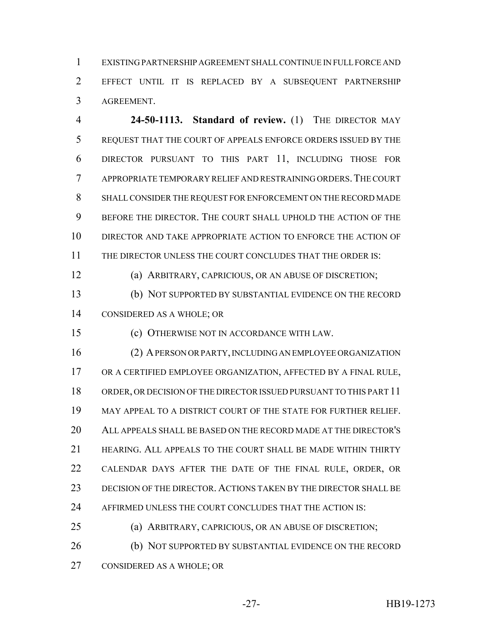EXISTING PARTNERSHIP AGREEMENT SHALL CONTINUE IN FULL FORCE AND EFFECT UNTIL IT IS REPLACED BY A SUBSEQUENT PARTNERSHIP AGREEMENT.

 **24-50-1113. Standard of review.** (1) THE DIRECTOR MAY REQUEST THAT THE COURT OF APPEALS ENFORCE ORDERS ISSUED BY THE DIRECTOR PURSUANT TO THIS PART 11, INCLUDING THOSE FOR APPROPRIATE TEMPORARY RELIEF AND RESTRAINING ORDERS.THE COURT SHALL CONSIDER THE REQUEST FOR ENFORCEMENT ON THE RECORD MADE BEFORE THE DIRECTOR. THE COURT SHALL UPHOLD THE ACTION OF THE DIRECTOR AND TAKE APPROPRIATE ACTION TO ENFORCE THE ACTION OF THE DIRECTOR UNLESS THE COURT CONCLUDES THAT THE ORDER IS:

(a) ARBITRARY, CAPRICIOUS, OR AN ABUSE OF DISCRETION;

 (b) NOT SUPPORTED BY SUBSTANTIAL EVIDENCE ON THE RECORD CONSIDERED AS A WHOLE; OR

(c) OTHERWISE NOT IN ACCORDANCE WITH LAW.

 (2) A PERSON OR PARTY, INCLUDING AN EMPLOYEE ORGANIZATION OR A CERTIFIED EMPLOYEE ORGANIZATION, AFFECTED BY A FINAL RULE, ORDER, OR DECISION OF THE DIRECTOR ISSUED PURSUANT TO THIS PART 11 MAY APPEAL TO A DISTRICT COURT OF THE STATE FOR FURTHER RELIEF. ALL APPEALS SHALL BE BASED ON THE RECORD MADE AT THE DIRECTOR'S HEARING. ALL APPEALS TO THE COURT SHALL BE MADE WITHIN THIRTY CALENDAR DAYS AFTER THE DATE OF THE FINAL RULE, ORDER, OR DECISION OF THE DIRECTOR. ACTIONS TAKEN BY THE DIRECTOR SHALL BE AFFIRMED UNLESS THE COURT CONCLUDES THAT THE ACTION IS:

(a) ARBITRARY, CAPRICIOUS, OR AN ABUSE OF DISCRETION;

 (b) NOT SUPPORTED BY SUBSTANTIAL EVIDENCE ON THE RECORD CONSIDERED AS A WHOLE; OR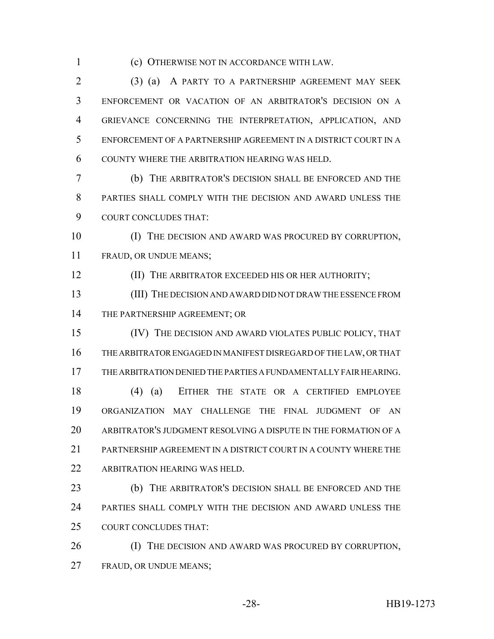(c) OTHERWISE NOT IN ACCORDANCE WITH LAW.

 (3) (a) A PARTY TO A PARTNERSHIP AGREEMENT MAY SEEK ENFORCEMENT OR VACATION OF AN ARBITRATOR'S DECISION ON A GRIEVANCE CONCERNING THE INTERPRETATION, APPLICATION, AND ENFORCEMENT OF A PARTNERSHIP AGREEMENT IN A DISTRICT COURT IN A COUNTY WHERE THE ARBITRATION HEARING WAS HELD.

 (b) THE ARBITRATOR'S DECISION SHALL BE ENFORCED AND THE PARTIES SHALL COMPLY WITH THE DECISION AND AWARD UNLESS THE COURT CONCLUDES THAT:

 (I) THE DECISION AND AWARD WAS PROCURED BY CORRUPTION, FRAUD, OR UNDUE MEANS;

**(II) THE ARBITRATOR EXCEEDED HIS OR HER AUTHORITY;** 

 (III) THE DECISION AND AWARD DID NOT DRAW THE ESSENCE FROM 14 THE PARTNERSHIP AGREEMENT; OR

 (IV) THE DECISION AND AWARD VIOLATES PUBLIC POLICY, THAT THE ARBITRATOR ENGAGED IN MANIFEST DISREGARD OF THE LAW, OR THAT THE ARBITRATION DENIED THE PARTIES A FUNDAMENTALLY FAIR HEARING.

 (4) (a) EITHER THE STATE OR A CERTIFIED EMPLOYEE ORGANIZATION MAY CHALLENGE THE FINAL JUDGMENT OF AN ARBITRATOR'S JUDGMENT RESOLVING A DISPUTE IN THE FORMATION OF A PARTNERSHIP AGREEMENT IN A DISTRICT COURT IN A COUNTY WHERE THE ARBITRATION HEARING WAS HELD.

 (b) THE ARBITRATOR'S DECISION SHALL BE ENFORCED AND THE PARTIES SHALL COMPLY WITH THE DECISION AND AWARD UNLESS THE COURT CONCLUDES THAT:

26 (I) THE DECISION AND AWARD WAS PROCURED BY CORRUPTION, FRAUD, OR UNDUE MEANS;